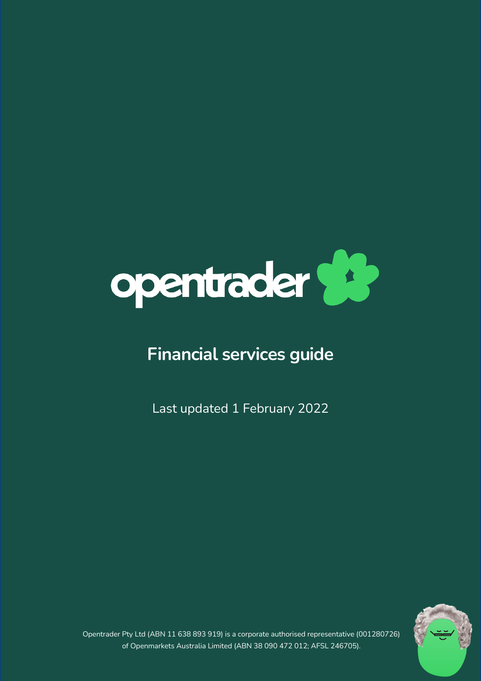

# **Financial services guide**

Last updated 1 February 2022



Opentrader Pty Ltd (ABN 11 638 893 919) is a corporate authorised representative (001280726) of Openmarkets Australia Limited (ABN 38 090 472 012; AFSL 246705).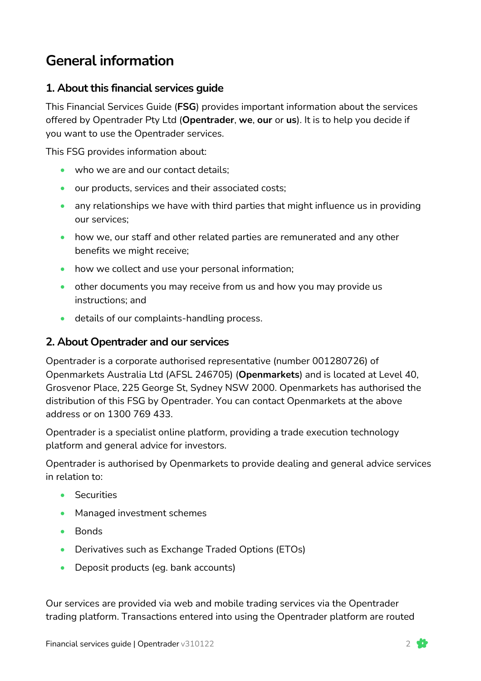# **General information**

#### **1. About this financial services guide**

This Financial Services Guide (**FSG**) provides important information about the services offered by Opentrader Pty Ltd (**Opentrader**, **we**, **our** or **us**). It is to help you decide if you want to use the Opentrader services.

This FSG provides information about:

- who we are and our contact details;
- our products, services and their associated costs;
- any relationships we have with third parties that might influence us in providing our services;
- how we, our staff and other related parties are remunerated and any other benefits we might receive;
- how we collect and use your personal information;
- other documents you may receive from us and how you may provide us instructions; and
- details of our complaints-handling process.

#### **2. About Opentrader and our services**

Opentrader is a corporate authorised representative (number 001280726) of Openmarkets Australia Ltd (AFSL 246705) (**Openmarkets**) and is located at Level 40, Grosvenor Place, 225 George St, Sydney NSW 2000. Openmarkets has authorised the distribution of this FSG by Opentrader. You can contact Openmarkets at the above address or on 1300 769 433.

Opentrader is a specialist online platform, providing a trade execution technology platform and general advice for investors.

Opentrader is authorised by Openmarkets to provide dealing and general advice services in relation to:

- Securities
- Managed investment schemes
- Bonds
- Derivatives such as Exchange Traded Options (ETOs)
- Deposit products (eg. bank accounts)

Our services are provided via web and mobile trading services via the Opentrader trading platform. Transactions entered into using the Opentrader platform are routed

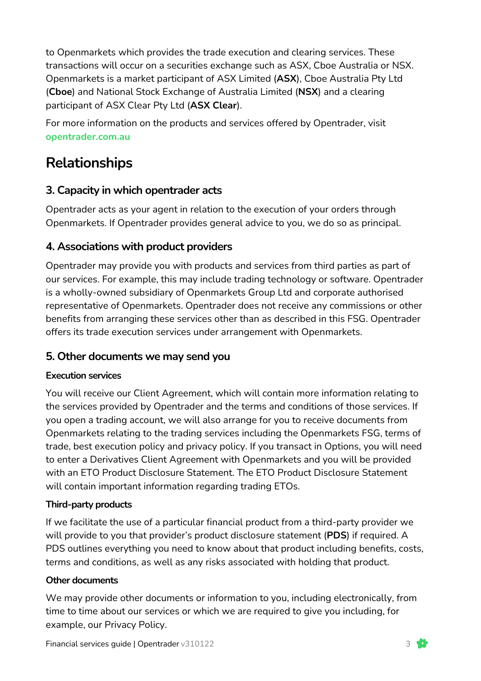to Openmarkets which provides the trade execution and clearing services. These transactions will occur on a securities exchange such as ASX, Cboe Australia or NSX. Openmarkets is a market participant of ASX Limited (**ASX**), Cboe Australia Pty Ltd (**Cboe**) and National Stock Exchange of Australia Limited (**NSX**) and a clearing participant of ASX Clear Pty Ltd (**ASX Clear**).

For more information on the products and services offered by Opentrader, visit **opentrader.com.au**

# **Relationships**

### **3. Capacity in which opentrader acts**

Opentrader acts as your agent in relation to the execution of your orders through Openmarkets. If Opentrader provides general advice to you, we do so as principal.

### **4. Associations with product providers**

Opentrader may provide you with products and services from third parties as part of our services. For example, this may include trading technology or software. Opentrader is a wholly-owned subsidiary of Openmarkets Group Ltd and corporate authorised representative of Openmarkets. Opentrader does not receive any commissions or other benefits from arranging these services other than as described in this FSG. Opentrader offers its trade execution services under arrangement with Openmarkets.

### **5. Other documents we may send you**

#### **Execution services**

You will receive our Client Agreement, which will contain more information relating to the services provided by Opentrader and the terms and conditions of those services. If you open a trading account, we will also arrange for you to receive documents from Openmarkets relating to the trading services including the Openmarkets FSG, terms of trade, best execution policy and privacy policy. If you transact in Options, you will need to enter a Derivatives Client Agreement with Openmarkets and you will be provided with an ETO Product Disclosure Statement. The ETO Product Disclosure Statement will contain important information regarding trading ETOs.

#### **Third-party products**

If we facilitate the use of a particular financial product from a third-party provider we will provide to you that provider's product disclosure statement (**PDS**) if required. A PDS outlines everything you need to know about that product including benefits, costs, terms and conditions, as well as any risks associated with holding that product.

#### **Other documents**

We may provide other documents or information to you, including electronically, from time to time about our services or which we are required to give you including, for example, our Privacy Policy.

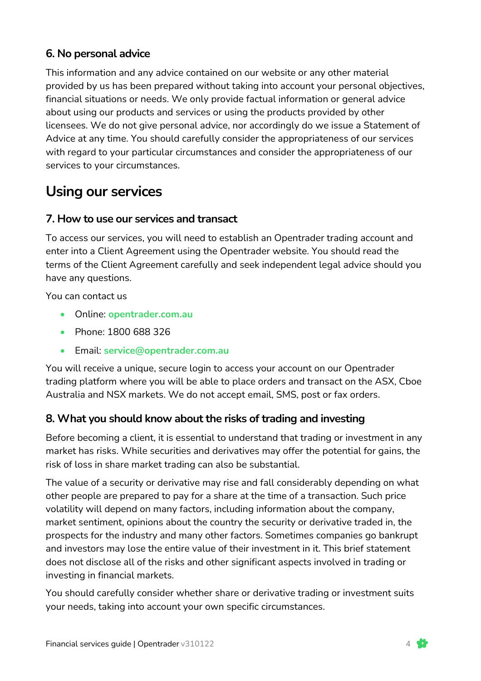### **6. No personal advice**

This information and any advice contained on our website or any other material provided by us has been prepared without taking into account your personal objectives, financial situations or needs. We only provide factual information or general advice about using our products and services or using the products provided by other licensees. We do not give personal advice, nor accordingly do we issue a Statement of Advice at any time. You should carefully consider the appropriateness of our services with regard to your particular circumstances and consider the appropriateness of our services to your circumstances.

# **Using our services**

#### **7. How to use our services and transact**

To access our services, you will need to establish an Opentrader trading account and enter into a Client Agreement using the Opentrader website. You should read the terms of the Client Agreement carefully and seek independent legal advice should you have any questions.

You can contact us

- Online: **opentrader.com.au**
- Phone: 1800 688 326
- Email: **service@opentrader.com.au**

You will receive a unique, secure login to access your account on our Opentrader trading platform where you will be able to place orders and transact on the ASX, Cboe Australia and NSX markets. We do not accept email, SMS, post or fax orders.

#### **8. What you should know about the risks of trading and investing**

Before becoming a client, it is essential to understand that trading or investment in any market has risks. While securities and derivatives may offer the potential for gains, the risk of loss in share market trading can also be substantial.

The value of a security or derivative may rise and fall considerably depending on what other people are prepared to pay for a share at the time of a transaction. Such price volatility will depend on many factors, including information about the company, market sentiment, opinions about the country the security or derivative traded in, the prospects for the industry and many other factors. Sometimes companies go bankrupt and investors may lose the entire value of their investment in it. This brief statement does not disclose all of the risks and other significant aspects involved in trading or investing in financial markets.

You should carefully consider whether share or derivative trading or investment suits your needs, taking into account your own specific circumstances.

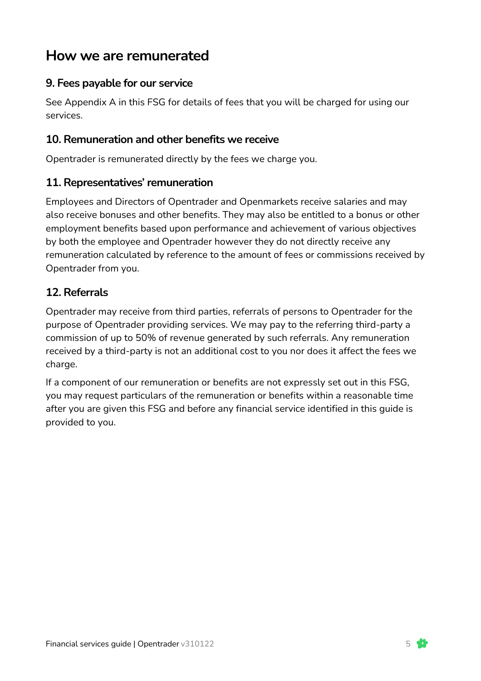## **How we are remunerated**

### **9. Fees payable for our service**

See Appendix A in this FSG for details of fees that you will be charged for using our services.

#### **10. Remuneration and other benefits we receive**

Opentrader is remunerated directly by the fees we charge you.

#### **11. Representatives' remuneration**

Employees and Directors of Opentrader and Openmarkets receive salaries and may also receive bonuses and other benefits. They may also be entitled to a bonus or other employment benefits based upon performance and achievement of various objectives by both the employee and Opentrader however they do not directly receive any remuneration calculated by reference to the amount of fees or commissions received by Opentrader from you.

#### **12. Referrals**

Opentrader may receive from third parties, referrals of persons to Opentrader for the purpose of Opentrader providing services. We may pay to the referring third-party a commission of up to 50% of revenue generated by such referrals. Any remuneration received by a third-party is not an additional cost to you nor does it affect the fees we charge.

If a component of our remuneration or benefits are not expressly set out in this FSG, you may request particulars of the remuneration or benefits within a reasonable time after you are given this FSG and before any financial service identified in this guide is provided to you.

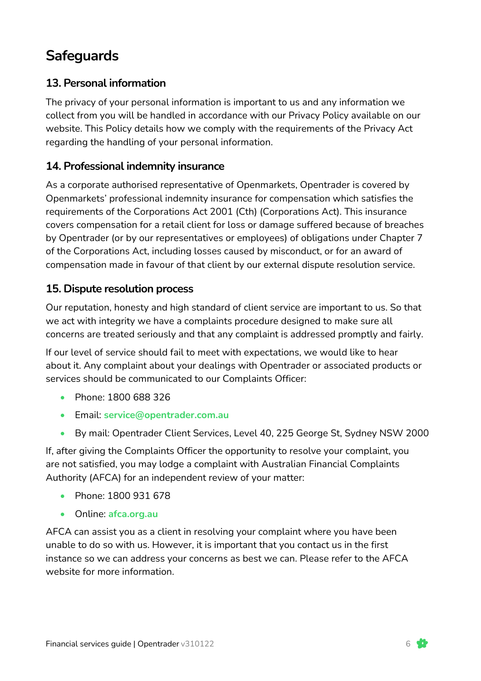# **Safeguards**

#### **13. Personal information**

The privacy of your personal information is important to us and any information we collect from you will be handled in accordance with our Privacy Policy available on our website. This Policy details how we comply with the requirements of the Privacy Act regarding the handling of your personal information.

#### **14. Professional indemnity insurance**

As a corporate authorised representative of Openmarkets, Opentrader is covered by Openmarkets' professional indemnity insurance for compensation which satisfies the requirements of the Corporations Act 2001 (Cth) (Corporations Act). This insurance covers compensation for a retail client for loss or damage suffered because of breaches by Opentrader (or by our representatives or employees) of obligations under Chapter 7 of the Corporations Act, including losses caused by misconduct, or for an award of compensation made in favour of that client by our external dispute resolution service.

#### **15. Dispute resolution process**

Our reputation, honesty and high standard of client service are important to us. So that we act with integrity we have a complaints procedure designed to make sure all concerns are treated seriously and that any complaint is addressed promptly and fairly.

If our level of service should fail to meet with expectations, we would like to hear about it. Any complaint about your dealings with Opentrader or associated products or services should be communicated to our Complaints Officer:

- Phone: 1800 688 326
- Email: **service@opentrader.com.au**
- By mail: Opentrader Client Services, Level 40, 225 George St, Sydney NSW 2000

If, after giving the Complaints Officer the opportunity to resolve your complaint, you are not satisfied, you may lodge a complaint with Australian Financial Complaints Authority (AFCA) for an independent review of your matter:

- Phone: 1800 931 678
- Online: **afca.org.au**

AFCA can assist you as a client in resolving your complaint where you have been unable to do so with us. However, it is important that you contact us in the first instance so we can address your concerns as best we can. Please refer to the AFCA website for more information.

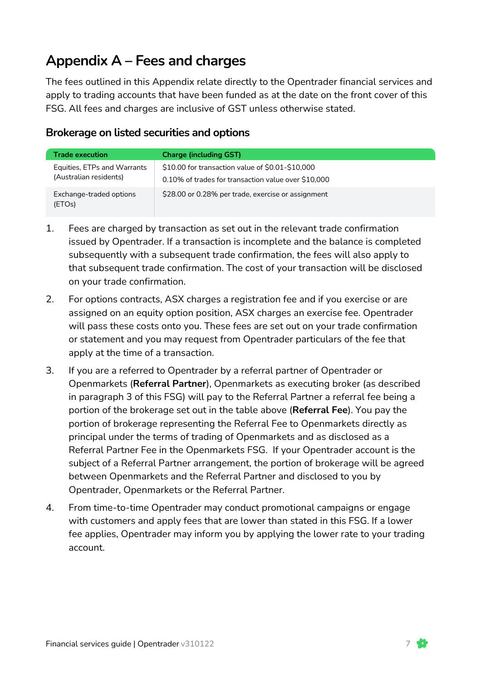# **Appendix A – Fees and charges**

The fees outlined in this Appendix relate directly to the Opentrader financial services and apply to trading accounts that have been funded as at the date on the front cover of this FSG. All fees and charges are inclusive of GST unless otherwise stated.

#### **Brokerage on listed securities and options**

| <b>Trade execution</b>                                | <b>Charge (including GST)</b>                                                                           |
|-------------------------------------------------------|---------------------------------------------------------------------------------------------------------|
| Equities, ETPs and Warrants<br>(Australian residents) | \$10.00 for transaction value of \$0.01-\$10,000<br>0.10% of trades for transaction value over \$10,000 |
| Exchange-traded options<br>(ETOs)                     | \$28.00 or 0.28% per trade, exercise or assignment                                                      |

- 1. Fees are charged by transaction as set out in the relevant trade confirmation issued by Opentrader. If a transaction is incomplete and the balance is completed subsequently with a subsequent trade confirmation, the fees will also apply to that subsequent trade confirmation. The cost of your transaction will be disclosed on your trade confirmation.
- 2. For options contracts, ASX charges a registration fee and if you exercise or are assigned on an equity option position, ASX charges an exercise fee. Opentrader will pass these costs onto you. These fees are set out on your trade confirmation or statement and you may request from Opentrader particulars of the fee that apply at the time of a transaction.
- 3. If you are a referred to Opentrader by a referral partner of Opentrader or Openmarkets (**Referral Partner**), Openmarkets as executing broker (as described in paragraph 3 of this FSG) will pay to the Referral Partner a referral fee being a portion of the brokerage set out in the table above (**Referral Fee**). You pay the portion of brokerage representing the Referral Fee to Openmarkets directly as principal under the terms of trading of Openmarkets and as disclosed as a Referral Partner Fee in the Openmarkets FSG. If your Opentrader account is the subject of a Referral Partner arrangement, the portion of brokerage will be agreed between Openmarkets and the Referral Partner and disclosed to you by Opentrader, Openmarkets or the Referral Partner.
- 4. From time-to-time Opentrader may conduct promotional campaigns or engage with customers and apply fees that are lower than stated in this FSG. If a lower fee applies, Opentrader may inform you by applying the lower rate to your trading account.